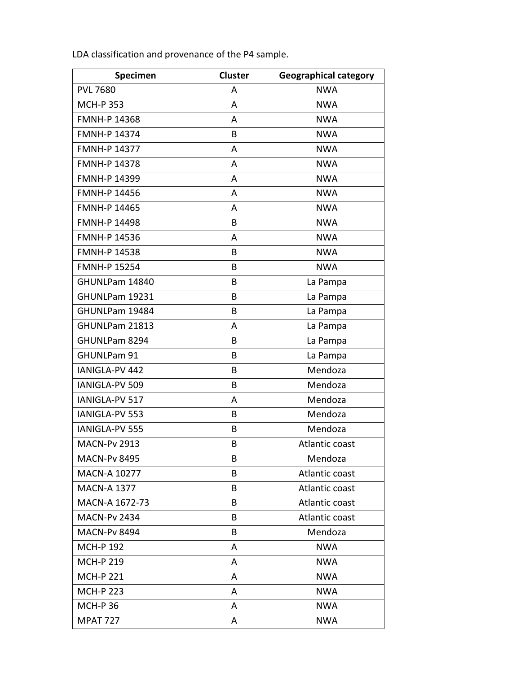| Specimen            | <b>Cluster</b> | <b>Geographical category</b> |
|---------------------|----------------|------------------------------|
| <b>PVL 7680</b>     | A              | <b>NWA</b>                   |
| <b>MCH-P353</b>     | A              | <b>NWA</b>                   |
| <b>FMNH-P 14368</b> | A              | <b>NWA</b>                   |
| <b>FMNH-P 14374</b> | B              | <b>NWA</b>                   |
| <b>FMNH-P 14377</b> | A              | <b>NWA</b>                   |
| <b>FMNH-P 14378</b> | A              | <b>NWA</b>                   |
| <b>FMNH-P 14399</b> | A              | <b>NWA</b>                   |
| <b>FMNH-P 14456</b> | A              | <b>NWA</b>                   |
| <b>FMNH-P 14465</b> | A              | <b>NWA</b>                   |
| <b>FMNH-P 14498</b> | B              | <b>NWA</b>                   |
| <b>FMNH-P 14536</b> | A              | <b>NWA</b>                   |
| <b>FMNH-P 14538</b> | B              | <b>NWA</b>                   |
| <b>FMNH-P 15254</b> | B              | <b>NWA</b>                   |
| GHUNLPam 14840      | B              | La Pampa                     |
| GHUNLPam 19231      | B              | La Pampa                     |
| GHUNLPam 19484      | B              | La Pampa                     |
| GHUNLPam 21813      | A              | La Pampa                     |
| GHUNLPam 8294       | B              | La Pampa                     |
| GHUNLPam 91         | B              | La Pampa                     |
| IANIGLA-PV 442      | B              | Mendoza                      |
| IANIGLA-PV 509      | B              | Mendoza                      |
| IANIGLA-PV 517      | A              | Mendoza                      |
| IANIGLA-PV 553      | B              | Mendoza                      |
| IANIGLA-PV 555      | B              | Mendoza                      |
| <b>MACN-Pv 2913</b> | B              | Atlantic coast               |
| <b>MACN-Pv 8495</b> | B              | Mendoza                      |
| <b>MACN-A 10277</b> | B              | Atlantic coast               |
| <b>MACN-A 1377</b>  | B              | Atlantic coast               |
| MACN-A 1672-73      | B              | Atlantic coast               |
| <b>MACN-Pv 2434</b> | B              | Atlantic coast               |
| <b>MACN-Pv 8494</b> | B              | Mendoza                      |
| <b>MCH-P 192</b>    | A              | <b>NWA</b>                   |
| <b>MCH-P 219</b>    | A              | <b>NWA</b>                   |
| <b>MCH-P 221</b>    | A              | <b>NWA</b>                   |
| <b>MCH-P 223</b>    | A              | <b>NWA</b>                   |
| <b>MCH-P36</b>      | A              | <b>NWA</b>                   |
| <b>MPAT 727</b>     | A              | <b>NWA</b>                   |

LDA classification and provenance of the P4 sample.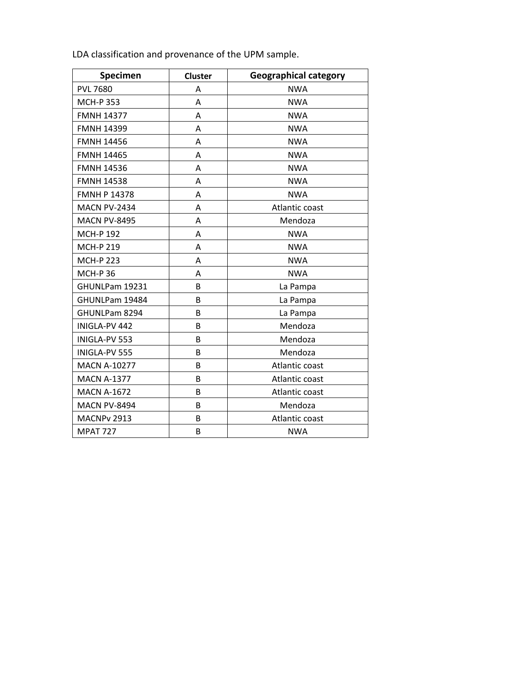| Specimen            | Cluster | <b>Geographical category</b> |  |
|---------------------|---------|------------------------------|--|
| <b>PVL 7680</b>     | Α       | <b>NWA</b>                   |  |
| <b>MCH-P 353</b>    | Α       | <b>NWA</b>                   |  |
| <b>FMNH 14377</b>   | A       | <b>NWA</b>                   |  |
| <b>FMNH 14399</b>   | Α       | <b>NWA</b>                   |  |
| <b>FMNH 14456</b>   | Α       | <b>NWA</b>                   |  |
| <b>FMNH 14465</b>   | Α       | <b>NWA</b>                   |  |
| <b>FMNH 14536</b>   | Α       | <b>NWA</b>                   |  |
| <b>FMNH 14538</b>   | A       | <b>NWA</b>                   |  |
| <b>FMNH P 14378</b> | Α       | <b>NWA</b>                   |  |
| <b>MACN PV-2434</b> | Α       | Atlantic coast               |  |
| <b>MACN PV-8495</b> | A       | Mendoza                      |  |
| <b>MCH-P192</b>     | Α       | <b>NWA</b>                   |  |
| <b>MCH-P 219</b>    | Α       | <b>NWA</b>                   |  |
| <b>MCH-P 223</b>    | A       | <b>NWA</b>                   |  |
| <b>MCH-P36</b>      | Α       | <b>NWA</b>                   |  |
| GHUNLPam 19231      | B       | La Pampa                     |  |
| GHUNLPam 19484      | B       | La Pampa                     |  |
| GHUNLPam 8294       | B       | La Pampa                     |  |
| INIGLA-PV 442       | B       | Mendoza                      |  |
| INIGLA-PV 553       | B       | Mendoza                      |  |
| INIGLA-PV 555       | B       | Mendoza                      |  |
| <b>MACN A-10277</b> | B       | Atlantic coast               |  |
| <b>MACN A-1377</b>  | B       | Atlantic coast               |  |
| <b>MACN A-1672</b>  | B       | Atlantic coast               |  |
| <b>MACN PV-8494</b> | B       | Mendoza                      |  |
| MACNPv 2913         | B       | Atlantic coast               |  |
| <b>MPAT 727</b>     | B       | <b>NWA</b>                   |  |

LDA classification and provenance of the UPM sample.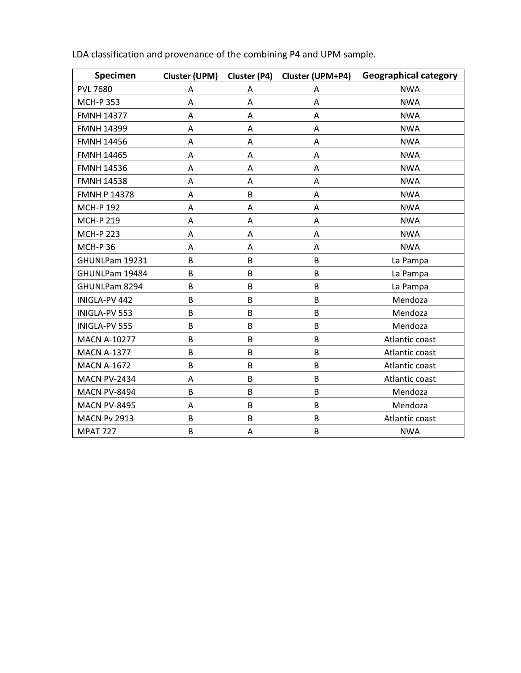| Specimen            | Cluster (UPM) | Cluster (P4) | Cluster (UPM+P4) | <b>Geographical category</b> |
|---------------------|---------------|--------------|------------------|------------------------------|
| <b>PVL 7680</b>     | Α             | Α            | Α                | <b>NWA</b>                   |
| <b>MCH-P 353</b>    | A             | Α            | A                | <b>NWA</b>                   |
| <b>FMNH 14377</b>   | A             | Α            | A                | <b>NWA</b>                   |
| <b>FMNH 14399</b>   | A             | Α            | A                | <b>NWA</b>                   |
| <b>FMNH 14456</b>   | A             | Α            | Α                | <b>NWA</b>                   |
| <b>FMNH 14465</b>   | A             | Α            | Α                | <b>NWA</b>                   |
| <b>FMNH 14536</b>   | A             | Α            | Α                | <b>NWA</b>                   |
| <b>FMNH 14538</b>   | A             | A            | Α                | <b>NWA</b>                   |
| <b>FMNH P 14378</b> | A             | B            | A                | <b>NWA</b>                   |
| <b>MCH-P 192</b>    | A             | Α            | A                | <b>NWA</b>                   |
| <b>MCH-P 219</b>    | A             | A            | A                | <b>NWA</b>                   |
| <b>MCH-P 223</b>    | A             | Α            | A                | <b>NWA</b>                   |
| <b>MCH-P36</b>      | A             | Α            | Α                | <b>NWA</b>                   |
| GHUNLPam 19231      | B             | B            | B                | La Pampa                     |
| GHUNLPam 19484      | B             | B            | B                | La Pampa                     |
| GHUNLPam 8294       | B             | B            | B                | La Pampa                     |
| INIGLA-PV 442       | B             | B            | B                | Mendoza                      |
| INIGLA-PV 553       | B             | B            | B                | Mendoza                      |
| INIGLA-PV 555       | B             | B            | B                | Mendoza                      |
| <b>MACN A-10277</b> | B             | B            | B                | Atlantic coast               |
| <b>MACN A-1377</b>  | B             | B            | B                | Atlantic coast               |
| <b>MACN A-1672</b>  | B             | B            | B                | Atlantic coast               |
| <b>MACN PV-2434</b> | A             | B            | B                | Atlantic coast               |
| <b>MACN PV-8494</b> | B             | B            | B                | Mendoza                      |
| <b>MACN PV-8495</b> | A             | B            | B                | Mendoza                      |
| <b>MACN Pv 2913</b> | B             | B            | B                | Atlantic coast               |
| <b>MPAT 727</b>     | B             | Α            | B                | <b>NWA</b>                   |

LDA classification and provenance of the combining P4 and UPM sample.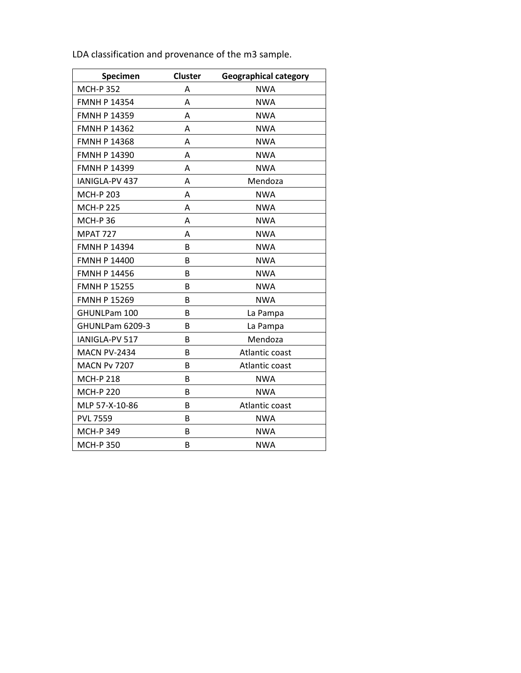| Specimen            | <b>Cluster</b> | <b>Geographical category</b> |
|---------------------|----------------|------------------------------|
| <b>MCH-P352</b>     | Α              | <b>NWA</b>                   |
| <b>FMNH P 14354</b> | А              | <b>NWA</b>                   |
| <b>FMNH P 14359</b> | A              | <b>NWA</b>                   |
| <b>FMNH P 14362</b> | A              | <b>NWA</b>                   |
| <b>FMNH P 14368</b> | Α              | <b>NWA</b>                   |
| <b>FMNH P 14390</b> | Α              | <b>NWA</b>                   |
| <b>FMNH P 14399</b> | А              | <b>NWA</b>                   |
| IANIGLA-PV 437      | А              | Mendoza                      |
| <b>MCH-P 203</b>    | А              | <b>NWA</b>                   |
| <b>MCH-P 225</b>    | А              | <b>NWA</b>                   |
| <b>MCH-P36</b>      | Α              | <b>NWA</b>                   |
| <b>MPAT 727</b>     | А              | <b>NWA</b>                   |
| <b>FMNH P 14394</b> | B              | <b>NWA</b>                   |
| <b>FMNH P 14400</b> | B              | <b>NWA</b>                   |
| <b>FMNH P 14456</b> | B              | <b>NWA</b>                   |
| <b>FMNH P 15255</b> | B              | <b>NWA</b>                   |
| <b>FMNH P 15269</b> | B              | <b>NWA</b>                   |
| GHUNLPam 100        | B              | La Pampa                     |
| GHUNLPam 6209-3     | B              | La Pampa                     |
| IANIGLA-PV 517      | B              | Mendoza                      |
| <b>MACN PV-2434</b> | B              | Atlantic coast               |
| <b>MACN Pv 7207</b> | B              | Atlantic coast               |
| <b>MCH-P 218</b>    | B              | <b>NWA</b>                   |
| <b>MCH-P 220</b>    | B              | <b>NWA</b>                   |
| MLP 57-X-10-86      | B              | Atlantic coast               |
| <b>PVL 7559</b>     | B              | <b>NWA</b>                   |
| <b>MCH-P 349</b>    | B              | <b>NWA</b>                   |
| <b>MCH-P350</b>     | B              | <b>NWA</b>                   |

LDA classification and provenance of the m3 sample.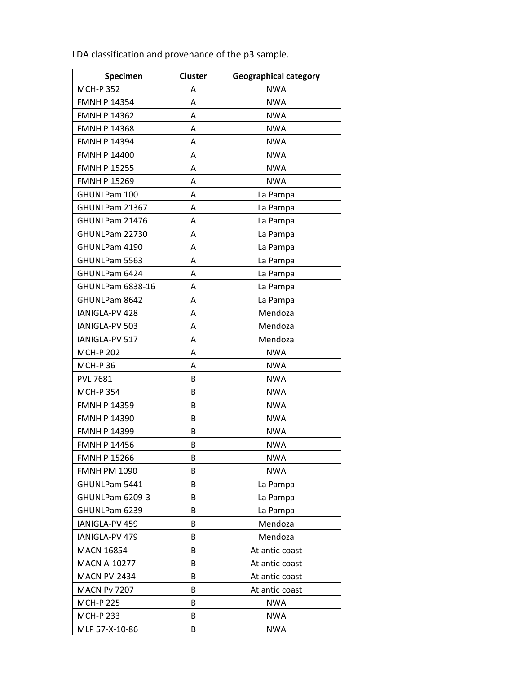| Specimen            | <b>Cluster</b> | <b>Geographical category</b> |  |
|---------------------|----------------|------------------------------|--|
| <b>MCH-P352</b>     | A              | <b>NWA</b>                   |  |
| <b>FMNH P 14354</b> | A              | <b>NWA</b>                   |  |
| <b>FMNH P 14362</b> | Α              | <b>NWA</b>                   |  |
| <b>FMNH P 14368</b> | A              | <b>NWA</b>                   |  |
| <b>FMNH P 14394</b> | A              | <b>NWA</b>                   |  |
| <b>FMNH P 14400</b> | A              | <b>NWA</b>                   |  |
| <b>FMNH P 15255</b> | A              | <b>NWA</b>                   |  |
| <b>FMNH P 15269</b> | A              | <b>NWA</b>                   |  |
| GHUNLPam 100        | A              | La Pampa                     |  |
| GHUNLPam 21367      | A              | La Pampa                     |  |
| GHUNLPam 21476      | A              | La Pampa                     |  |
| GHUNLPam 22730      | A              | La Pampa                     |  |
| GHUNLPam 4190       | A              | La Pampa                     |  |
| GHUNLPam 5563       | А              | La Pampa                     |  |
| GHUNLPam 6424       | A              | La Pampa                     |  |
| GHUNLPam 6838-16    | A              | La Pampa                     |  |
| GHUNLPam 8642       | A              | La Pampa                     |  |
| IANIGLA-PV 428      | A              | Mendoza                      |  |
| IANIGLA-PV 503      | A              | Mendoza                      |  |
| IANIGLA-PV 517      | Α              | Mendoza                      |  |
| <b>MCH-P 202</b>    | A              | <b>NWA</b>                   |  |
| <b>MCH-P36</b>      | A              | <b>NWA</b>                   |  |
| <b>PVL 7681</b>     | B              | <b>NWA</b>                   |  |
| <b>MCH-P 354</b>    | В              | <b>NWA</b>                   |  |
| <b>FMNH P 14359</b> | В              | <b>NWA</b>                   |  |
| <b>FMNH P 14390</b> | В              | <b>NWA</b>                   |  |
| <b>FMNH P 14399</b> | В              | <b>NWA</b>                   |  |
| <b>FMNH P 14456</b> | В              | NWA                          |  |
| <b>FMNH P 15266</b> | В              | <b>NWA</b>                   |  |
| <b>FMNH PM 1090</b> | В              | <b>NWA</b>                   |  |
| GHUNLPam 5441       | В              | La Pampa                     |  |
| GHUNLPam 6209-3     | B              | La Pampa                     |  |
| GHUNLPam 6239       | B              | La Pampa                     |  |
| IANIGLA-PV 459      | В              | Mendoza                      |  |
| IANIGLA-PV 479      | В              | Mendoza                      |  |
| <b>MACN 16854</b>   | В              | Atlantic coast               |  |
| <b>MACN A-10277</b> | В              | Atlantic coast               |  |
| <b>MACN PV-2434</b> | В              | Atlantic coast               |  |
| <b>MACN Pv 7207</b> | В              | Atlantic coast               |  |
| <b>MCH-P 225</b>    | В              | <b>NWA</b>                   |  |
| <b>MCH-P 233</b>    | В              | <b>NWA</b>                   |  |
| MLP 57-X-10-86      | В              | <b>NWA</b>                   |  |

LDA classification and provenance of the p3 sample.